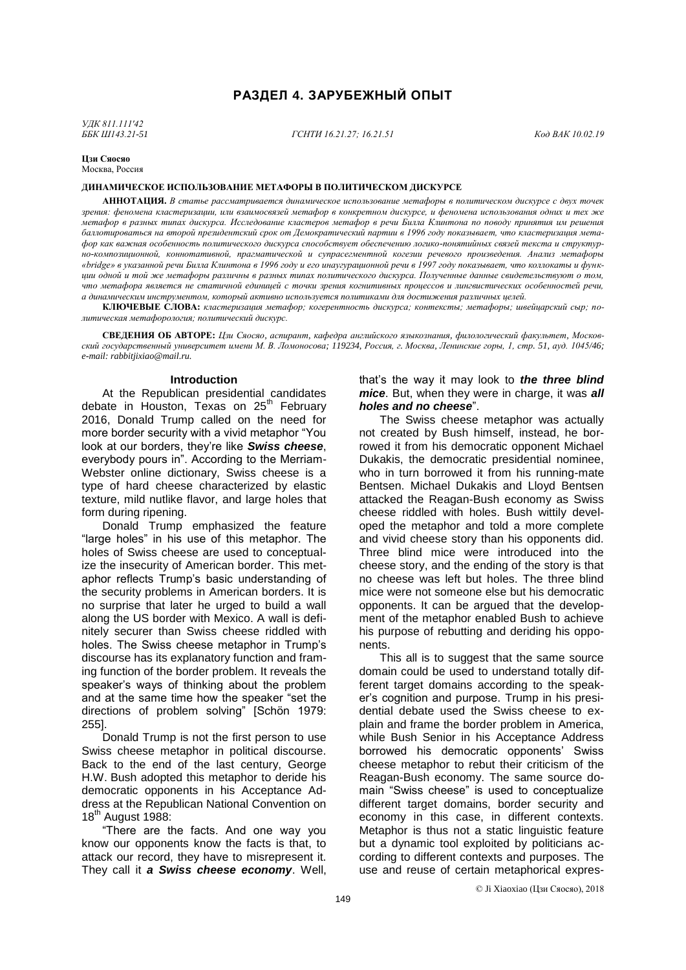# **РАЗДЕЛ 4. ЗАРУБЕЖНЫЙ ОПЫТ**

*УДК 811.111'42*

*ББК Ш143.21-51 ГСНТИ 16.21.27; 16.21.51 Код ВАК 10.02.19*

**Цзи Сяосяо** Москва, Россия

#### ДИНАМИЧЕСКОЕ ИСПОЛЬЗОВАНИЕ МЕТАФОРЫ В ПОЛИТИЧЕСКОМ ДИСКУРСЕ

**АННОТАЦИЯ.** *В статье рассматривается динамическое использование метафоры в политическом дискурсе с двух точек зрения: феномена кластеризации, или взаимосвязей метафор в конкретном дискурсе, и феномена использования одних и тех же метафор в разных типах дискурса. Исследование кластеров метафор в речи Билла Клинтона по поводу принятия им решения баллотироваться на второй президентский срок от Демократический партии в 1996 году показывает, что кластеризация метафор как важная особенность политического дискурса способствует обеспечению логико-понятийных связей текста и структурно-композиционной, коннотативной, прагматической и супрасегментной когезии речевого произведения. Анализ метафоры «bridge» в указанной речи Билла Клинтона в 1996 году и его инаугурационной речи в 1997 году показывает, что коллокаты и функции одной и той же метафоры различны в разных типах политического дискурса. Полученные данные свидетельствуют о том, что метафора является не статичной единицей с точки зрения когнитивных процессов и лингвистических особенностей речи, а динамическим инструментом, который активно используется политиками для достижения различных целей.*

**КЛЮЧЕВЫЕ СЛОВА:** *кластеризация метафор; когерентность дискурса; контексты; метафоры; швейцарский сыр; политическая метафорология; политический дискурс.*

**СВЕДЕНИЯ ОБ АВТОРЕ:** *Цзи Сяосяо, аспирант, кафедра английского языкознания, филологический факультет, Московский государственный университет имени М. В. Ломоносова; 119234, Россия, г. Москва, Ленинские горы, 1, стр. 51, ауд. 1045/46; e-mail: rabbitjixiao@mail.ru.*

### **Introduction**

At the Republican presidential candidates debate in Houston, Texas on 25<sup>th</sup> February 2016, Donald Trump called on the need for more border security with a vivid metaphor "You look at our borders, they're like *Swiss cheese*, everybody pours in". According to the Merriam-Webster online dictionary, Swiss cheese is a type of hard cheese characterized by elastic texture, mild nutlike flavor, and large holes that form during ripening.

Donald Trump emphasized the feature "large holes" in his use of this metaphor. The holes of Swiss cheese are used to conceptualize the insecurity of American border. This metaphor reflects Trump's basic understanding of the security problems in American borders. It is no surprise that later he urged to build a wall along the US border with Mexico. A wall is definitely securer than Swiss cheese riddled with holes. The Swiss cheese metaphor in Trump's discourse has its explanatory function and framing function of the border problem. It reveals the speaker's ways of thinking about the problem and at the same time how the speaker "set the directions of problem solving" [Schön 1979: 255].

Donald Trump is not the first person to use Swiss cheese metaphor in political discourse. Back to the end of the last century, George H.W. Bush adopted this metaphor to deride his democratic opponents in his Acceptance Address at the Republican National Convention on 18<sup>th</sup> August 1988:

"There are the facts. And one way you know our opponents know the facts is that, to attack our record, they have to misrepresent it. They call it *a Swiss cheese economy*. Well, that's the way it may look to *the three blind mice*. But, when they were in charge, it was *all holes and no cheese*".

The Swiss cheese metaphor was actually not created by Bush himself, instead, he borrowed it from his democratic opponent Michael Dukakis, the democratic presidential nominee, who in turn borrowed it from his running-mate Bentsen. Michael Dukakis and Lloyd Bentsen attacked the Reagan-Bush economy as Swiss cheese riddled with holes. Bush wittily developed the metaphor and told a more complete and vivid cheese story than his opponents did. Three blind mice were introduced into the cheese story, and the ending of the story is that no cheese was left but holes. The three blind mice were not someone else but his democratic opponents. It can be argued that the development of the metaphor enabled Bush to achieve his purpose of rebutting and deriding his opponents.

This all is to suggest that the same source domain could be used to understand totally different target domains according to the speaker's cognition and purpose. Trump in his presidential debate used the Swiss cheese to explain and frame the border problem in America, while Bush Senior in his Acceptance Address borrowed his democratic opponents' Swiss cheese metaphor to rebut their criticism of the Reagan-Bush economy. The same source domain "Swiss cheese" is used to conceptualize different target domains, border security and economy in this case, in different contexts. Metaphor is thus not a static linguistic feature but a dynamic tool exploited by politicians according to different contexts and purposes. The use and reuse of certain metaphorical expres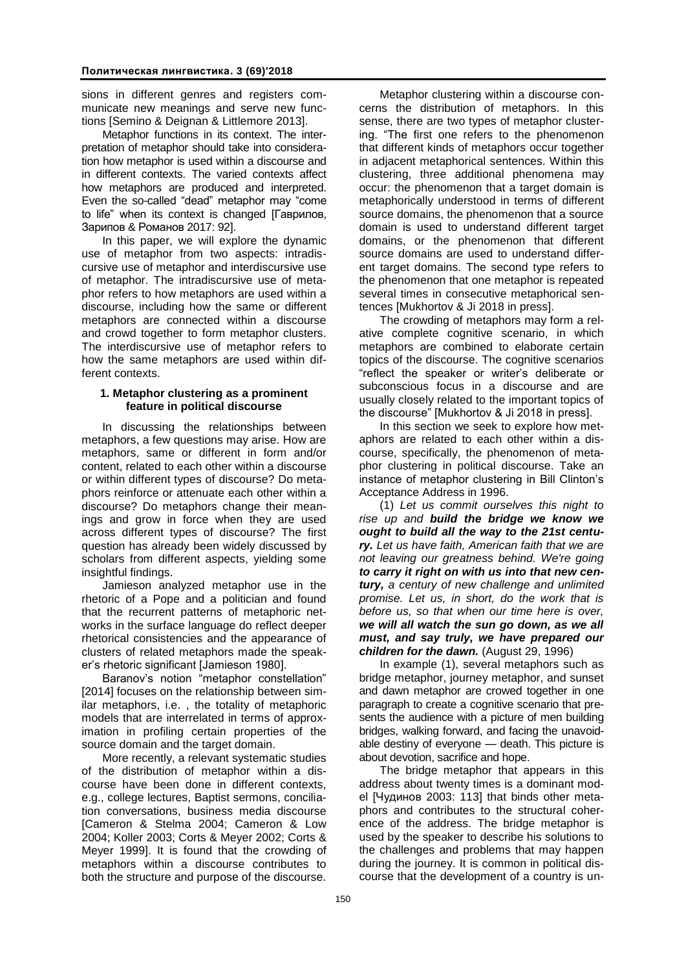sions in different genres and registers communicate new meanings and serve new functions [Semino & Deignan & Littlemore 2013].

Metaphor functions in its context. The interpretation of metaphor should take into consideration how metaphor is used within a discourse and in different contexts. The varied contexts affect how metaphors are produced and interpreted. Even the so-called "dead" metaphor may "come to life" when its context is changed [Гаврилов, Зарипов & Романов 2017: 92].

In this paper, we will explore the dynamic use of metaphor from two aspects: intradiscursive use of metaphor and interdiscursive use of metaphor. The intradiscursive use of metaphor refers to how metaphors are used within a discourse, including how the same or different metaphors are connected within a discourse and crowd together to form metaphor clusters. The interdiscursive use of metaphor refers to how the same metaphors are used within different contexts.

## **1. Metaphor clustering as a prominent feature in political discourse**

In discussing the relationships between metaphors, a few questions may arise. How are metaphors, same or different in form and/or content, related to each other within a discourse or within different types of discourse? Do metaphors reinforce or attenuate each other within a discourse? Do metaphors change their meanings and grow in force when they are used across different types of discourse? The first question has already been widely discussed by scholars from different aspects, yielding some insightful findings.

Jamieson analyzed metaphor use in the rhetoric of a Pope and a politician and found that the recurrent patterns of metaphoric networks in the surface language do reflect deeper rhetorical consistencies and the appearance of clusters of related metaphors made the speaker's rhetoric significant [Jamieson 1980].

Baranov's notion "metaphor constellation" [2014] focuses on the relationship between similar metaphors, i.e. , the totality of metaphoric models that are interrelated in terms of approximation in profiling certain properties of the source domain and the target domain.

More recently, a relevant systematic studies of the distribution of metaphor within a discourse have been done in different contexts, e.g., college lectures, Baptist sermons, conciliation conversations, business media discourse [Cameron & Stelma 2004; Cameron & Low 2004; Koller 2003; Corts & Meyer 2002; Corts & Meyer 1999]. It is found that the crowding of metaphors within a discourse contributes to both the structure and purpose of the discourse.

Metaphor clustering within a discourse concerns the distribution of metaphors. In this sense, there are two types of metaphor clustering. "The first one refers to the phenomenon that different kinds of metaphors occur together in adjacent metaphorical sentences. Within this clustering, three additional phenomena may occur: the phenomenon that a target domain is metaphorically understood in terms of different source domains, the phenomenon that a source domain is used to understand different target domains, or the phenomenon that different source domains are used to understand different target domains. The second type refers to the phenomenon that one metaphor is repeated several times in consecutive metaphorical sentences [Mukhortov & Ji 2018 in press].

The crowding of metaphors may form a relative complete cognitive scenario, in which metaphors are combined to elaborate certain topics of the discourse. The cognitive scenarios "reflect the speaker or writer's deliberate or subconscious focus in a discourse and are usually closely related to the important topics of the discourse" [Mukhortov & Ji 2018 in press].

In this section we seek to explore how metaphors are related to each other within a discourse, specifically, the phenomenon of metaphor clustering in political discourse. Take an instance of metaphor clustering in Bill Clinton's Acceptance Address in 1996.

(1) *Let us commit ourselves this night to rise up and build the bridge we know we ought to build all the way to the 21st century. Let us have faith, American faith that we are not leaving our greatness behind. We're going to carry it right on with us into that new century, a century of new challenge and unlimited promise. Let us, in short, do the work that is before us, so that when our time here is over, we will all watch the sun go down, as we all must, and say truly, we have prepared our children for the dawn.* (August 29, 1996)

In example (1), several metaphors such as bridge metaphor, journey metaphor, and sunset and dawn metaphor are crowed together in one paragraph to create a cognitive scenario that presents the audience with a picture of men building bridges, walking forward, and facing the unavoidable destiny of everyone — death. This picture is about devotion, sacrifice and hope.

The bridge metaphor that appears in this address about twenty times is a dominant model [Чудинов 2003: 113] that binds other metaphors and contributes to the structural coherence of the address. The bridge metaphor is used by the speaker to describe his solutions to the challenges and problems that may happen during the journey. It is common in political discourse that the development of a country is un-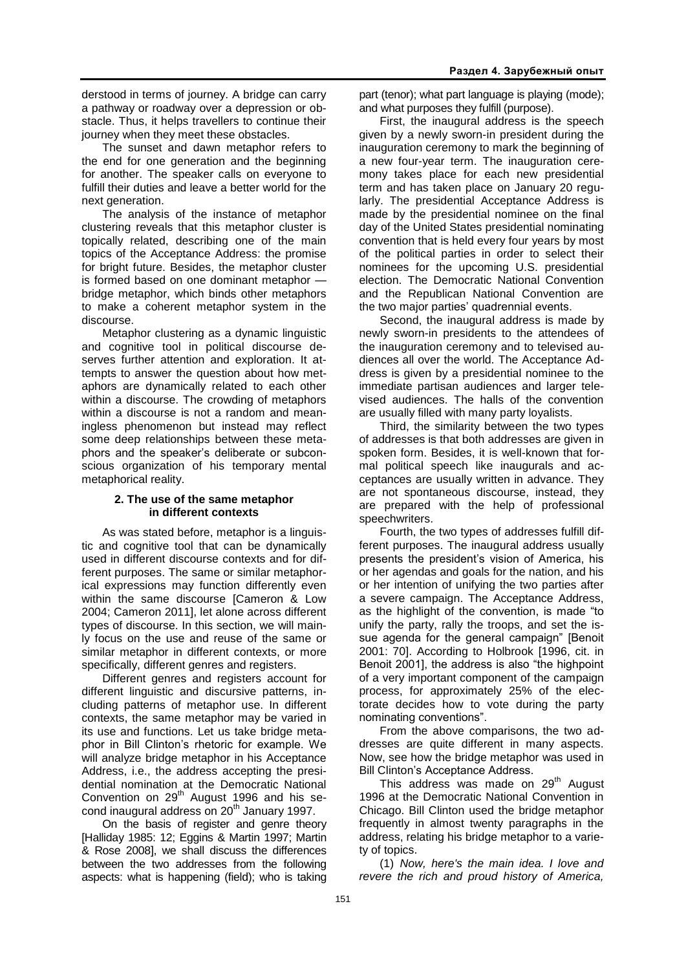derstood in terms of journey. A bridge can carry a pathway or roadway over a depression or obstacle. Thus, it helps travellers to continue their journey when they meet these obstacles.

The sunset and dawn metaphor refers to the end for one generation and the beginning for another. The speaker calls on everyone to fulfill their duties and leave a better world for the next generation.

The analysis of the instance of metaphor clustering reveals that this metaphor cluster is topically related, describing one of the main topics of the Acceptance Address: the promise for bright future. Besides, the metaphor cluster is formed based on one dominant metaphor bridge metaphor, which binds other metaphors to make a coherent metaphor system in the discourse.

Metaphor clustering as a dynamic linguistic and cognitive tool in political discourse deserves further attention and exploration. It attempts to answer the question about how metaphors are dynamically related to each other within a discourse. The crowding of metaphors within a discourse is not a random and meaningless phenomenon but instead may reflect some deep relationships between these metaphors and the speaker's deliberate or subconscious organization of his temporary mental metaphorical reality.

### **2. The use of the same metaphor in different contexts**

As was stated before, metaphor is a linguistic and cognitive tool that can be dynamically used in different discourse contexts and for different purposes. The same or similar metaphorical expressions may function differently even within the same discourse [Cameron & Low 2004; Cameron 2011], let alone across different types of discourse. In this section, we will mainly focus on the use and reuse of the same or similar metaphor in different contexts, or more specifically, different genres and registers.

Different genres and registers account for different linguistic and discursive patterns, including patterns of metaphor use. In different contexts, the same metaphor may be varied in its use and functions. Let us take bridge metaphor in Bill Clinton's rhetoric for example. We will analyze bridge metaphor in his Acceptance Address, i.e., the address accepting the presidential nomination at the Democratic National Convention on  $29<sup>th</sup>$  August 1996 and his second inaugural address on 20<sup>th</sup> January 1997.

On the basis of register and genre theory [Halliday 1985: 12; Eggins & Martin 1997; Martin & Rose 2008], we shall discuss the differences between the two addresses from the following aspects: what is happening (field); who is taking part (tenor); what part language is playing (mode); and what purposes they fulfill (purpose).

First, the inaugural address is the speech given by a newly sworn-in president during the inauguration ceremony to mark the beginning of a new four-year term. The inauguration ceremony takes place for each new presidential term and has taken place on January 20 regularly. The presidential Acceptance Address is made by the presidential nominee on the final day of the United States presidential nominating convention that is held every four years by most of the political parties in order to select their nominees for the upcoming U.S. presidential election. The Democratic National Convention and the Republican National Convention are the two major parties' quadrennial events.

Second, the inaugural address is made by newly sworn-in presidents to the attendees of the inauguration ceremony and to televised audiences all over the world. The Acceptance Address is given by a presidential nominee to the immediate partisan audiences and larger televised audiences. The halls of the convention are usually filled with many party loyalists.

Third, the similarity between the two types of addresses is that both addresses are given in spoken form. Besides, it is well-known that formal political speech like inaugurals and acceptances are usually written in advance. They are not spontaneous discourse, instead, they are prepared with the help of professional speechwriters.

Fourth, the two types of addresses fulfill different purposes. The inaugural address usually presents the president's vision of America, his or her agendas and goals for the nation, and his or her intention of unifying the two parties after a severe campaign. The Acceptance Address, as the highlight of the convention, is made "to unify the party, rally the troops, and set the issue agenda for the general campaign" [Benoit 2001: 70]. According to Holbrook [1996, cit. in Benoit 2001], the address is also "the highpoint of a very important component of the campaign process, for approximately 25% of the electorate decides how to vote during the party nominating conventions".

From the above comparisons, the two addresses are quite different in many aspects. Now, see how the bridge metaphor was used in Bill Clinton's Acceptance Address.

This address was made on 29<sup>th</sup> August 1996 at the Democratic National Convention in Chicago. Bill Clinton used the bridge metaphor frequently in almost twenty paragraphs in the address, relating his bridge metaphor to a variety of topics.

(1) *Now, here's the main idea. I love and revere the rich and proud history of America,*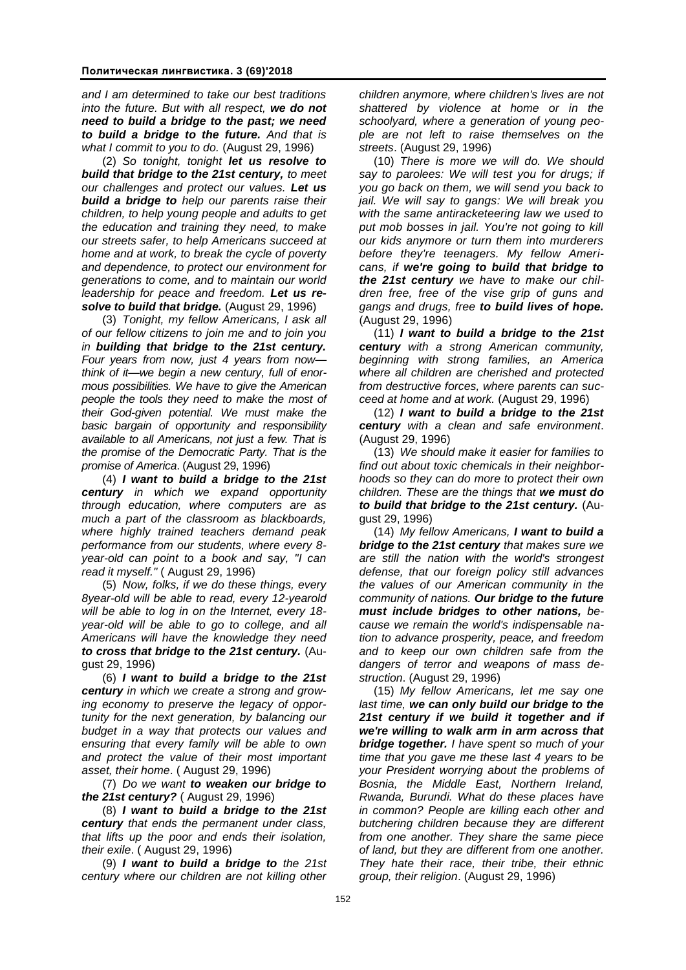*and I am determined to take our best traditions into the future. But with all respect, we do not need to build a bridge to the past; we need to build a bridge to the future. And that is what I commit to you to do.* (August 29, 1996)

(2) *So tonight, tonight let us resolve to build that bridge to the 21st century, to meet our challenges and protect our values. Let us build a bridge to help our parents raise their children, to help young people and adults to get the education and training they need, to make our streets safer, to help Americans succeed at home and at work, to break the cycle of poverty and dependence, to protect our environment for generations to come, and to maintain our world leadership for peace and freedom. Let us resolve to build that bridge.* (August 29, 1996)

(3) *Tonight, my fellow Americans, I ask all of our fellow citizens to join me and to join you in building that bridge to the 21st century. Four years from now, just 4 years from now think of it—we begin a new century, full of enormous possibilities. We have to give the American people the tools they need to make the most of their God-given potential. We must make the basic bargain of opportunity and responsibility available to all Americans, not just a few. That is the promise of the Democratic Party. That is the promise of America*. (August 29, 1996)

(4) *I want to build a bridge to the 21st century in which we expand opportunity through education, where computers are as much a part of the classroom as blackboards, where highly trained teachers demand peak performance from our students, where every 8 year-old can point to a book and say, "I can read it myself."* ( August 29, 1996)

(5) *Now, folks, if we do these things, every 8year-old will be able to read, every 12-yearold will be able to log in on the Internet, every 18 year-old will be able to go to college, and all Americans will have the knowledge they need to cross that bridge to the 21st century.* (August 29, 1996)

(6) *I want to build a bridge to the 21st century in which we create a strong and growing economy to preserve the legacy of opportunity for the next generation, by balancing our budget in a way that protects our values and ensuring that every family will be able to own and protect the value of their most important asset, their home*. ( August 29, 1996)

(7) *Do we want to weaken our bridge to the 21st century?* ( August 29, 1996)

(8) *I want to build a bridge to the 21st century that ends the permanent under class, that lifts up the poor and ends their isolation, their exile*. ( August 29, 1996)

(9) *I want to build a bridge to the 21st century where our children are not killing other* 

*children anymore, where children's lives are not shattered by violence at home or in the schoolyard, where a generation of young people are not left to raise themselves on the streets*. (August 29, 1996)

(10) *There is more we will do. We should say to parolees: We will test you for drugs; if you go back on them, we will send you back to jail. We will say to gangs: We will break you with the same antiracketeering law we used to put mob bosses in jail. You're not going to kill our kids anymore or turn them into murderers before they're teenagers. My fellow Americans, if we're going to build that bridge to the 21st century we have to make our children free, free of the vise grip of guns and gangs and drugs, free to build lives of hope.* (August 29, 1996)

(11) *I want to build a bridge to the 21st century with a strong American community, beginning with strong families, an America where all children are cherished and protected from destructive forces, where parents can succeed at home and at work.* (August 29, 1996)

(12) *I want to build a bridge to the 21st century with a clean and safe environment*. (August 29, 1996)

(13) *We should make it easier for families to find out about toxic chemicals in their neighborhoods so they can do more to protect their own children. These are the things that we must do to build that bridge to the 21st century.* (August 29, 1996)

(14) *My fellow Americans, I want to build a bridge to the 21st century that makes sure we are still the nation with the world's strongest defense, that our foreign policy still advances the values of our American community in the community of nations. Our bridge to the future must include bridges to other nations, because we remain the world's indispensable nation to advance prosperity, peace, and freedom and to keep our own children safe from the dangers of terror and weapons of mass destruction*. (August 29, 1996)

(15) *My fellow Americans, let me say one last time, we can only build our bridge to the 21st century if we build it together and if we're willing to walk arm in arm across that bridge together. I have spent so much of your time that you gave me these last 4 years to be your President worrying about the problems of Bosnia, the Middle East, Northern Ireland, Rwanda, Burundi. What do these places have in common? People are killing each other and butchering children because they are different from one another. They share the same piece of land, but they are different from one another. They hate their race, their tribe, their ethnic group, their religion*. (August 29, 1996)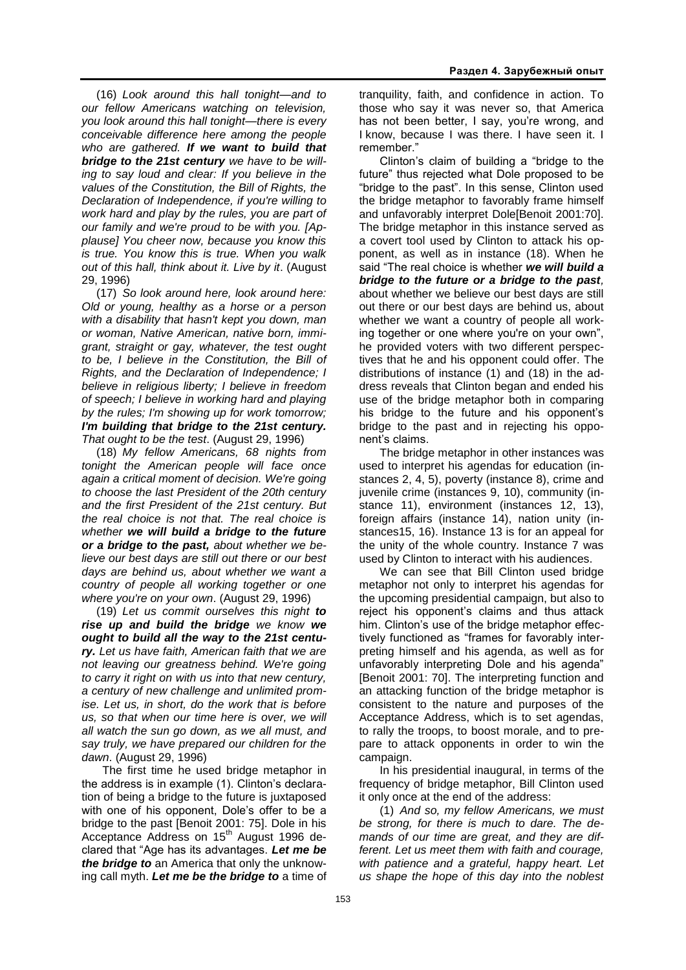(16) *Look around this hall tonight—and to our fellow Americans watching on television, you look around this hall tonight—there is every conceivable difference here among the people who are gathered. If we want to build that bridge to the 21st century we have to be willing to say loud and clear: If you believe in the values of the Constitution, the Bill of Rights, the Declaration of Independence, if you're willing to work hard and play by the rules, you are part of our family and we're proud to be with you. [Applause] You cheer now, because you know this is true. You know this is true. When you walk out of this hall, think about it. Live by it*. (August 29, 1996)

(17) *So look around here, look around here: Old or young, healthy as a horse or a person with a disability that hasn't kept you down, man or woman, Native American, native born, immigrant, straight or gay, whatever, the test ought to be, I believe in the Constitution, the Bill of Rights, and the Declaration of Independence; I believe in religious liberty; I believe in freedom of speech; I believe in working hard and playing by the rules; I'm showing up for work tomorrow; I'm building that bridge to the 21st century. That ought to be the test*. (August 29, 1996)

(18) *My fellow Americans, 68 nights from tonight the American people will face once again a critical moment of decision. We're going to choose the last President of the 20th century and the first President of the 21st century. But the real choice is not that. The real choice is whether we will build a bridge to the future or a bridge to the past, about whether we believe our best days are still out there or our best days are behind us, about whether we want a country of people all working together or one where you're on your own*. (August 29, 1996)

(19) *Let us commit ourselves this night to rise up and build the bridge we know we ought to build all the way to the 21st century. Let us have faith, American faith that we are not leaving our greatness behind. We're going to carry it right on with us into that new century, a century of new challenge and unlimited promise. Let us, in short, do the work that is before us, so that when our time here is over, we will all watch the sun go down, as we all must, and say truly, we have prepared our children for the dawn*. (August 29, 1996)

The first time he used bridge metaphor in the address is in example (1). Clinton's declaration of being a bridge to the future is juxtaposed with one of his opponent, Dole's offer to be a bridge to the past [Benoit 2001: 75]. Dole in his Acceptance Address on 15<sup>th</sup> August 1996 declared that "Age has its advantages. *Let me be the bridge to* an America that only the unknowing call myth. *Let me be the bridge to* a time of tranquility, faith, and confidence in action. To those who say it was never so, that America has not been better, I say, you're wrong, and I know, because I was there. I have seen it. I remember."

Clinton's claim of building a "bridge to the future" thus rejected what Dole proposed to be "bridge to the past". In this sense, Clinton used the bridge metaphor to favorably frame himself and unfavorably interpret Dole[Benoit 2001:70]. The bridge metaphor in this instance served as a covert tool used by Clinton to attack his opponent, as well as in instance (18). When he said "The real choice is whether *we will build a bridge to the future or a bridge to the past,* about whether we believe our best days are still out there or our best days are behind us, about whether we want a country of people all working together or one where you're on your own", he provided voters with two different perspectives that he and his opponent could offer. The distributions of instance (1) and (18) in the address reveals that Clinton began and ended his use of the bridge metaphor both in comparing his bridge to the future and his opponent's bridge to the past and in rejecting his opponent's claims.

The bridge metaphor in other instances was used to interpret his agendas for education (instances 2, 4, 5), poverty (instance 8), crime and juvenile crime (instances 9, 10), community (instance 11), environment (instances 12, 13), foreign affairs (instance 14), nation unity (instances15, 16). Instance 13 is for an appeal for the unity of the whole country. Instance 7 was used by Clinton to interact with his audiences.

We can see that Bill Clinton used bridge metaphor not only to interpret his agendas for the upcoming presidential campaign, but also to reject his opponent's claims and thus attack him. Clinton's use of the bridge metaphor effectively functioned as "frames for favorably interpreting himself and his agenda, as well as for unfavorably interpreting Dole and his agenda" [Benoit 2001: 70]. The interpreting function and an attacking function of the bridge metaphor is consistent to the nature and purposes of the Acceptance Address, which is to set agendas, to rally the troops, to boost morale, and to prepare to attack opponents in order to win the campaign.

In his presidential inaugural, in terms of the frequency of bridge metaphor, Bill Clinton used it only once at the end of the address:

(1) *And so, my fellow Americans, we must be strong, for there is much to dare. The demands of our time are great, and they are different. Let us meet them with faith and courage, with patience and a grateful, happy heart. Let us shape the hope of this day into the noblest*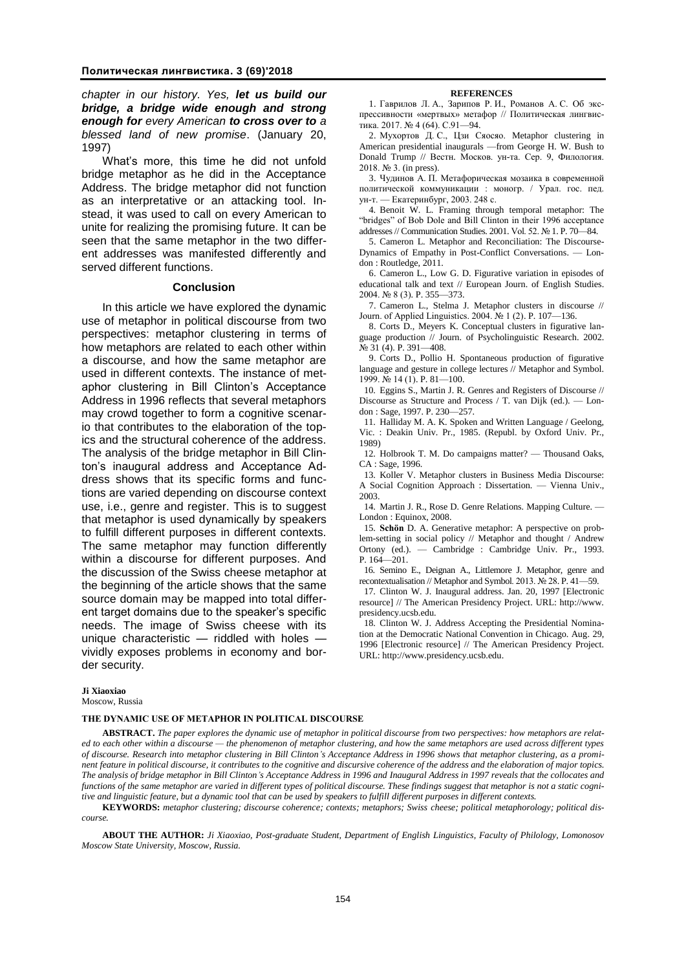*chapter in our history. Yes, let us build our bridge, a bridge wide enough and strong enough for every American to cross over to a blessed land of new promise*. (January 20, 1997)

What's more, this time he did not unfold bridge metaphor as he did in the Acceptance Address. The bridge metaphor did not function as an interpretative or an attacking tool. Instead, it was used to call on every American to unite for realizing the promising future. It can be seen that the same metaphor in the two different addresses was manifested differently and served different functions.

#### **Conclusion**

In this article we have explored the dynamic use of metaphor in political discourse from two perspectives: metaphor clustering in terms of how metaphors are related to each other within a discourse, and how the same metaphor are used in different contexts. The instance of metaphor clustering in Bill Clinton's Acceptance Address in 1996 reflects that several metaphors may crowd together to form a cognitive scenario that contributes to the elaboration of the topics and the structural coherence of the address. The analysis of the bridge metaphor in Bill Clinton's inaugural address and Acceptance Address shows that its specific forms and functions are varied depending on discourse context use, i.e., genre and register. This is to suggest that metaphor is used dynamically by speakers to fulfill different purposes in different contexts. The same metaphor may function differently within a discourse for different purposes. And the discussion of the Swiss cheese metaphor at the beginning of the article shows that the same source domain may be mapped into total different target domains due to the speaker's specific needs. The image of Swiss cheese with its unique characteristic — riddled with holes vividly exposes problems in economy and border security.

#### **REFERENCES**

1. Гаврилов Л. А., Зарипов Р. И., Романов А. С. Об экспрессивности «мертвых» метафор // Политическая лингвистика. 2017. № 4 (64). C.91—94.

2. Мухортов Д. С., Цзи Сяосяо. Metaphor clustering in American presidential inaugurals —from George H. W. Bush to Donald Trump // Вестн. Москов. ун-та. Сер. 9, Филология. 2018. № 3. (in press).

3. Чудинов А. П. Метафорическая мозаика в современной политической коммуникации : моногр. / Урал. гос. пед. ун-т. — Екатеринбург, 2003. 248 с.

4. Benoit W. L. Framing through temporal metaphor: The "bridges" of Bob Dole and Bill Clinton in their 1996 acceptance addresses // Communication Studies. 2001. Vol. 52. № 1. P. 70—84.

5. Cameron L. Metaphor and Reconciliation: The Discourse-Dynamics of Empathy in Post-Conflict Conversations. — London : Routledge, 2011.

6. Cameron L., Low G. D. Figurative variation in episodes of educational talk and text // European Journ. of English Studies. 2004. № 8 (3). P. 355—373.

7. Cameron L., Stelma J. Metaphor clusters in discourse // Journ. of Applied Linguistics. 2004. № 1 (2). P. 107—136.

8. Corts D., Meyers K. Conceptual clusters in figurative language production // Journ. of Psycholinguistic Research. 2002. № 31 (4). P. 391—408.

9. Corts D., Pollio H. Spontaneous production of figurative language and gesture in college lectures // Metaphor and Symbol. 1999. № 14 (1). P. 81—100.

10. Eggins S., Martin J. R. Genres and Registers of Discourse // Discourse as Structure and Process / T. van Dijk (ed.). — London : Sage, 1997. P. 230—257.

11. Halliday M. A. K. Spoken and Written Language / Geelong, Vic. : Deakin Univ. Pr., 1985. (Republ. by Oxford Univ. Pr., 1989)

12. Holbrook T. M. Do campaigns matter? — Thousand Oaks, CA : Sage, 1996.

13. Koller V. Metaphor clusters in Business Media Discourse: A Social Cognition Approach : Dissertation. — Vienna Univ., 2003.

14. Martin J. R., Rose D. Genre Relations. Mapping Culture. — London : Equinox, 2008.

15. **Schön** D. A. Generative metaphor: A perspective on problem-setting in social policy // Metaphor and thought / Andrew Ortony (ed.). — Cambridge : Cambridge Univ. Pr., 1993. P. 164—201.

16. Semino E., Deignan A., Littlemore J. Metaphor, genre and recontextualisation // Metaphor and Symbol. 2013. № 28. P. 41—59.

17. Clinton W. J. Inaugural address. Jan. 20, 1997 [Electronic resource] // The American Presidency Project. URL: http://www. presidency.ucsb.edu.

18. Clinton W. J. Address Accepting the Presidential Nomination at the Democratic National Convention in Chicago. Aug. 29, 1996 [Electronic resource] // The American Presidency Project. URL: http://www.presidency.ucsb.edu.

#### **Ji Xiaoxiao**

Moscow, Russia

#### THE DYNAMIC USE OF METAPHOR IN POLITICAL DISCOURSE

**ABSTRACT.** *The paper explores the dynamic use of metaphor in political discourse from two perspectives: how metaphors are related to each other within a discourse — the phenomenon of metaphor clustering, and how the same metaphors are used across different types of discourse. Research into metaphor clustering in Bill Clinton's Acceptance Address in 1996 shows that metaphor clustering, as a prominent feature in political discourse, it contributes to the cognitive and discursive coherence of the address and the elaboration of major topics. The analysis of bridge metaphor in Bill Clinton's Acceptance Address in 1996 and Inaugural Address in 1997 reveals that the collocates and functions of the same metaphor are varied in different types of political discourse. These findings suggest that metaphor is not a static cognitive and linguistic feature, but a dynamic tool that can be used by speakers to fulfill different purposes in different contexts.*

**KEYWORDS:** *metaphor clustering; discourse coherence; contexts; metaphors; Swiss cheese; political metaphorology; political discourse.*

**ABOUT THE AUTHOR:** *Ji Xiaoxiao, Post-graduate Student, Department of English Linguistics, Faculty of Philology, Lomonosov Moscow State University, Moscow, Russia.*